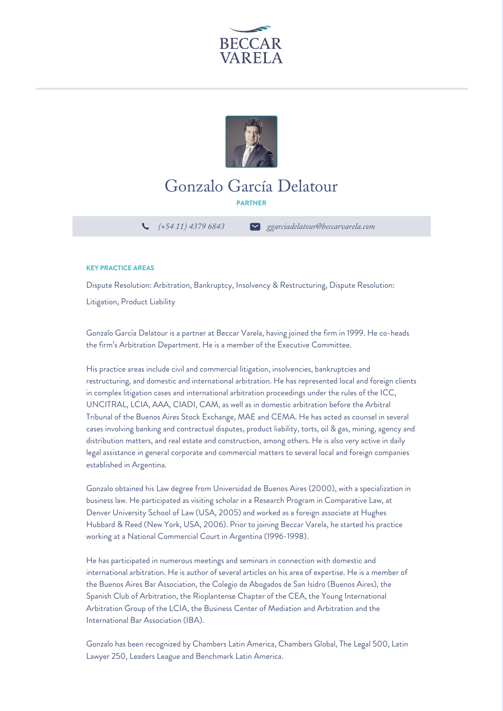



## Gonzalo García Delatour

**PARTNER**

*(+54 11) 4379 6843 ggarciadelatour@beccarvarela.com*

## **KEY PRACTICE AREAS**

Dispute Resolution: Arbitration, Bankruptcy, Insolvency & Restructuring, Dispute Resolution:

Litigation, Product Liability

Gonzalo García Delatour is a partner at Beccar Varela, having joined the firm in 1999. He co-heads the firm's Arbitration Department. He is a member of the Executive Committee.

His practice areas include civil and commercial litigation, insolvencies, bankruptcies and restructuring, and domestic and international arbitration. He has represented local and foreign clients in complex litigation cases and international arbitration proceedings under the rules of the ICC, UNCITRAL, LCIA, AAA, CIADI, CAM, as well as in domestic arbitration before the Arbitral Tribunal of the Buenos Aires Stock Exchange, MAE and CEMA. He has acted as counsel in several cases involving banking and contractual disputes, product liability, torts, oil & gas, mining, agency and distribution matters, and real estate and construction, among others. He is also very active in daily legal assistance in general corporate and commercial matters to several local and foreign companies established in Argentina.

Gonzalo obtained his Law degree from Universidad de Buenos Aires (2000), with a specialization in business law. He participated as visiting scholar in a Research Program in Comparative Law, at Denver University School of Law (USA, 2005) and worked as a foreign associate at Hughes Hubbard & Reed (New York, USA, 2006). Prior to joining Beccar Varela, he started his practice working at a National Commercial Court in Argentina (1996-1998).

He has participated in numerous meetings and seminars in connection with domestic and international arbitration. He is author of several articles on his area of expertise. He is a member of the Buenos Aires Bar Association, the Colegio de Abogados de San Isidro (Buenos Aires), the Spanish Club of Arbitration, the Rioplantense Chapter of the CEA, the Young International Arbitration Group of the LCIA, the Business Center of Mediation and Arbitration and the International Bar Association (IBA).

Gonzalo has been recognized by Chambers Latin America, Chambers Global, The Legal 500, Latin Lawyer 250, Leaders League and Benchmark Latin America.